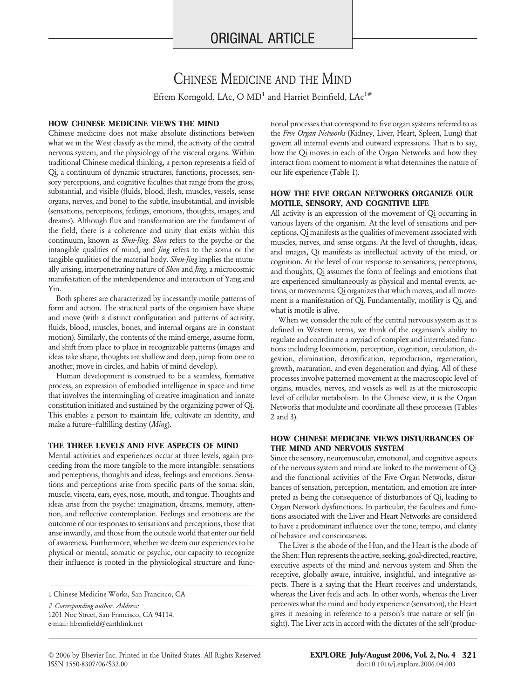# CHINESE MEDICINE AND THE MIND

Efrem Korngold, LAc, O  $MD<sup>1</sup>$  and Harriet Beinfield, LAc<sup>1#</sup>

## **HOW CHINESE MEDICINE VIEWS THE MIND**

Chinese medicine does not make absolute distinctions between what we in the West classify as the mind, the activity of the central nervous system, and the physiology of the visceral organs. Within traditional Chinese medical thinking, a person represents a field of Qi, a continuum of dynamic structures, functions, processes, sensory perceptions, and cognitive faculties that range from the gross, substantial, and visible (fluids, blood, flesh, muscles, vessels, sense organs, nerves, and bone) to the subtle, insubstantial, and invisible (sensations, perceptions, feelings, emotions, thoughts, images, and dreams). Although flux and transformation are the fundament of the field, there is a coherence and unity that exists within this continuum, known as *Shen-Jing*. *Shen* refers to the psyche or the intangible qualities of mind, and *Jing* refers to the soma or the tangible qualities of the material body. *Shen-Jing* implies the mutually arising, interpenetrating nature of *Shen* and *Jing*, a microcosmic manifestation of the interdependence and interaction of Yang and Yin.

Both spheres are characterized by incessantly motile patterns of form and action. The structural parts of the organism have shape and move (with a distinct configuration and patterns of activity, fluids, blood, muscles, bones, and internal organs are in constant motion). Similarly, the contents of the mind emerge, assume form, and shift from place to place in recognizable patterns (images and ideas take shape, thoughts are shallow and deep, jump from one to another, move in circles, and habits of mind develop).

Human development is construed to be a seamless, formative process, an expression of embodied intelligence in space and time that involves the intermingling of creative imagination and innate constitution initiated and sustained by the organizing power of Qi. This enables a person to maintain life, cultivate an identity, and make a future—fulfilling destiny (*Ming*).

### **THE THREE LEVELS AND FIVE ASPECTS OF MIND**

Mental activities and experiences occur at three levels, again proceeding from the more tangible to the more intangible: sensations and perceptions, thoughts and ideas, feelings and emotions. Sensations and perceptions arise from specific parts of the soma: skin, muscle, viscera, ears, eyes, nose, mouth, and tongue. Thoughts and ideas arise from the psyche: imagination, dreams, memory, attention, and reflective contemplation. Feelings and emotions are the outcome of our responses to sensations and perceptions, those that arise inwardly, and those from the outside world that enter our field of awareness. Furthermore, whether we deem our experiences to be physical or mental, somatic or psychic, our capacity to recognize their influence is rooted in the physiological structure and func-

1201 Noe Street, San Francisco, CA 94114. e-mail: hbeinfield@earthlink.net

tional processes that correspond to five organ systems referred to as the *Five Organ Networks* (Kidney, Liver, Heart, Spleen, Lung) that govern all internal events and outward expressions. That is to say, how the Qi moves in each of the Organ Networks and how they interact from moment to moment is what determines the nature of our life experience [\(Table 1\)](#page-1-0).

### **HOW THE FIVE ORGAN NETWORKS ORGANIZE OUR MOTILE, SENSORY, AND COGNITIVE LIFE**

All activity is an expression of the movement of Qi occurring in various layers of the organism. At the level of sensations and perceptions, Qi manifests as the qualities of movement associated with muscles, nerves, and sense organs. At the level of thoughts, ideas, and images, Qi manifests as intellectual activity of the mind, or cognition. At the level of our response to sensations, perceptions, and thoughts, Qi assumes the form of feelings and emotions that are experienced simultaneously as physical and mental events, actions, or movements. Qi organizes that which moves, and all movement is a manifestation of Qi. Fundamentally, motility is Qi, and what is motile is alive.

When we consider the role of the central nervous system as it is defined in Western terms, we think of the organism's ability to regulate and coordinate a myriad of complex and interrelated functions including locomotion, perception, cognition, circulation, digestion, elimination, detoxification, reproduction, regeneration, growth, maturation, and even degeneration and dying. All of these processes involve patterned movement at the macroscopic level of organs, muscles, nerves, and vessels as well as at the microscopic level of cellular metabolism. In the Chinese view, it is the Organ Networks that modulate and coordinate all these processes [\(Tables](#page-2-0) [2](#page-2-0) and [3\)](#page-3-0).

## **HOW CHINESE MEDICINE VIEWS DISTURBANCES OF THE MIND AND NERVOUS SYSTEM**

Since the sensory, neuromuscular, emotional, and cognitive aspects of the nervous system and mind are linked to the movement of Qi and the functional activities of the Five Organ Networks, disturbances of sensation, perception, mentation, and emotion are interpreted as being the consequence of disturbances of Qi, leading to Organ Network dysfunctions. In particular, the faculties and functions associated with the Liver and Heart Networks are considered to have a predominant influence over the tone, tempo, and clarity of behavior and consciousness.

The Liver is the abode of the Hun, and the Heart is the abode of the Shen: Hun represents the active, seeking, goal-directed, reactive, executive aspects of the mind and nervous system and Shen the receptive, globally aware, intuitive, insightful, and integrative aspects. There is a saying that the Heart receives and understands, whereas the Liver feels and acts. In other words, whereas the Liver perceives what the mind and body experience (sensation), the Heart gives it meaning in reference to a person's true nature or self (insight). The Liver acts in accord with the dictates of the self (produc-

<sup>1</sup> Chinese Medicine Works, San Francisco, CA

<sup>#</sup> *Corresponding author. Address:*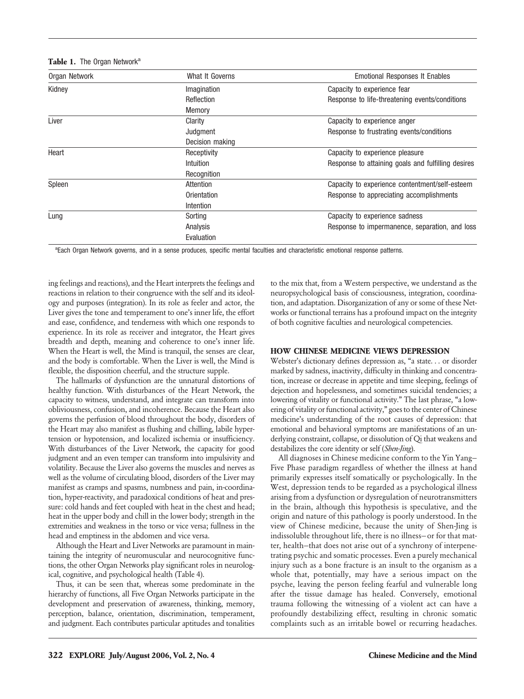<span id="page-1-0"></span>

| Organ Network | What It Governs | <b>Emotional Responses It Enables</b>              |
|---------------|-----------------|----------------------------------------------------|
| Kidney        | Imagination     | Capacity to experience fear                        |
|               | Reflection      | Response to life-threatening events/conditions     |
|               | Memory          |                                                    |
| Liver         | Clarity         | Capacity to experience anger                       |
|               | Judgment        | Response to frustrating events/conditions          |
|               | Decision making |                                                    |
| Heart         | Receptivity     | Capacity to experience pleasure                    |
|               | Intuition       | Response to attaining goals and fulfilling desires |
|               | Recognition     |                                                    |
| Spleen        | Attention       | Capacity to experience contentment/self-esteem     |
|               | Orientation     | Response to appreciating accomplishments           |
|               | Intention       |                                                    |
| Lung          | Sorting         | Capacity to experience sadness                     |
|               | Analysis        | Response to impermanence, separation, and loss     |
|               | Evaluation      |                                                    |

a Each Organ Network governs, and in a sense produces, specific mental faculties and characteristic emotional response patterns.

ing feelings and reactions), and the Heart interprets the feelings and reactions in relation to their congruence with the self and its ideology and purposes (integration). In its role as feeler and actor, the Liver gives the tone and temperament to one's inner life, the effort and ease, confidence, and tenderness with which one responds to experience. In its role as receiver and integrator, the Heart gives breadth and depth, meaning and coherence to one's inner life. When the Heart is well, the Mind is tranquil, the senses are clear, and the body is comfortable. When the Liver is well, the Mind is flexible, the disposition cheerful, and the structure supple.

The hallmarks of dysfunction are the unnatural distortions of healthy function. With disturbances of the Heart Network, the capacity to witness, understand, and integrate can transform into obliviousness, confusion, and incoherence. Because the Heart also governs the perfusion of blood throughout the body, disorders of the Heart may also manifest as flushing and chilling, labile hypertension or hypotension, and localized ischemia or insufficiency. With disturbances of the Liver Network, the capacity for good judgment and an even temper can transform into impulsivity and volatility. Because the Liver also governs the muscles and nerves as well as the volume of circulating blood, disorders of the Liver may manifest as cramps and spasms, numbness and pain, in-coordination, hyper-reactivity, and paradoxical conditions of heat and pressure: cold hands and feet coupled with heat in the chest and head; heat in the upper body and chill in the lower body; strength in the extremities and weakness in the torso or vice versa; fullness in the head and emptiness in the abdomen and vice versa.

Although the Heart and Liver Networks are paramount in maintaining the integrity of neuromuscular and neurocognitive functions, the other Organ Networks play significant roles in neurological, cognitive, and psychological health [\(Table 4\)](#page-4-0).

Thus, it can be seen that, whereas some predominate in the hierarchy of functions, all Five Organ Networks participate in the development and preservation of awareness, thinking, memory, perception, balance, orientation, discrimination, temperament, and judgment. Each contributes particular aptitudes and tonalities to the mix that, from a Western perspective, we understand as the neuropsychological basis of consciousness, integration, coordination, and adaptation. Disorganization of any or some of these Networks or functional terrains has a profound impact on the integrity of both cognitive faculties and neurological competencies.

### **HOW CHINESE MEDICINE VIEWS DEPRESSION**

Webster's dictionary defines depression as, "a state. . . or disorder marked by sadness, inactivity, difficulty in thinking and concentration, increase or decrease in appetite and time sleeping, feelings of dejection and hopelessness, and sometimes suicidal tendencies; a lowering of vitality or functional activity." The last phrase, "a lowering of vitality or functional activity," goes to the center of Chinese medicine's understanding of the root causes of depression: that emotional and behavioral symptoms are manifestations of an underlying constraint, collapse, or dissolution of Qi that weakens and destabilizes the core identity or self (*Shen-Jing*).

All diagnoses in Chinese medicine conform to the Yin Yang— Five Phase paradigm regardless of whether the illness at hand primarily expresses itself somatically or psychologically. In the West, depression tends to be regarded as a psychological illness arising from a dysfunction or dysregulation of neurotransmitters in the brain, although this hypothesis is speculative, and the origin and nature of this pathology is poorly understood. In the view of Chinese medicine, because the unity of Shen-Jing is indissoluble throughout life, there is no illness— or for that matter, health—that does not arise out of a synchrony of interpenetrating psychic and somatic processes. Even a purely mechanical injury such as a bone fracture is an insult to the organism as a whole that, potentially, may have a serious impact on the psyche, leaving the person feeling fearful and vulnerable long after the tissue damage has healed. Conversely, emotional trauma following the witnessing of a violent act can have a profoundly destabilizing effect, resulting in chronic somatic complaints such as an irritable bowel or recurring headaches.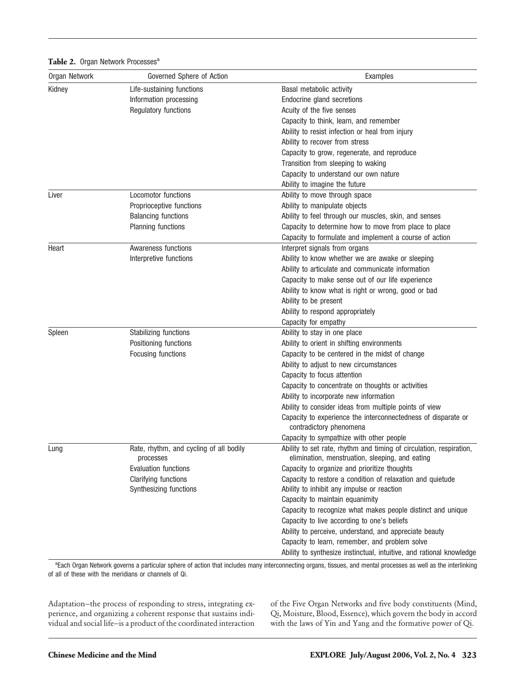| Organ Network | Governed Sphere of Action                            | Examples                                                                                                               |
|---------------|------------------------------------------------------|------------------------------------------------------------------------------------------------------------------------|
| Kidney        | Life-sustaining functions                            | Basal metabolic activity                                                                                               |
|               | Information processing                               | Endocrine gland secretions                                                                                             |
|               | Regulatory functions                                 | Acuity of the five senses                                                                                              |
|               |                                                      | Capacity to think, learn, and remember                                                                                 |
|               |                                                      | Ability to resist infection or heal from injury                                                                        |
|               |                                                      | Ability to recover from stress                                                                                         |
|               |                                                      | Capacity to grow, regenerate, and reproduce                                                                            |
|               |                                                      | Transition from sleeping to waking                                                                                     |
|               |                                                      | Capacity to understand our own nature                                                                                  |
|               |                                                      | Ability to imagine the future                                                                                          |
| Liver         | Locomotor functions                                  | Ability to move through space                                                                                          |
|               | Proprioceptive functions                             | Ability to manipulate objects                                                                                          |
|               | <b>Balancing functions</b>                           | Ability to feel through our muscles, skin, and senses                                                                  |
|               | Planning functions                                   | Capacity to determine how to move from place to place                                                                  |
|               |                                                      | Capacity to formulate and implement a course of action                                                                 |
| Heart         | Awareness functions                                  | Interpret signals from organs                                                                                          |
|               | Interpretive functions                               | Ability to know whether we are awake or sleeping                                                                       |
|               |                                                      | Ability to articulate and communicate information                                                                      |
|               |                                                      | Capacity to make sense out of our life experience                                                                      |
|               |                                                      | Ability to know what is right or wrong, good or bad                                                                    |
|               |                                                      | Ability to be present                                                                                                  |
|               |                                                      | Ability to respond appropriately                                                                                       |
|               |                                                      | Capacity for empathy                                                                                                   |
| Spleen        | Stabilizing functions                                | Ability to stay in one place                                                                                           |
|               | Positioning functions                                | Ability to orient in shifting environments                                                                             |
|               | Focusing functions                                   | Capacity to be centered in the midst of change                                                                         |
|               |                                                      | Ability to adjust to new circumstances                                                                                 |
|               |                                                      | Capacity to focus attention                                                                                            |
|               |                                                      | Capacity to concentrate on thoughts or activities                                                                      |
|               |                                                      | Ability to incorporate new information                                                                                 |
|               |                                                      | Ability to consider ideas from multiple points of view                                                                 |
|               |                                                      | Capacity to experience the interconnectedness of disparate or<br>contradictory phenomena                               |
|               |                                                      | Capacity to sympathize with other people                                                                               |
| Lung          | Rate, rhythm, and cycling of all bodily<br>processes | Ability to set rate, rhythm and timing of circulation, respiration,<br>elimination, menstruation, sleeping, and eating |
|               | <b>Evaluation functions</b>                          | Capacity to organize and prioritize thoughts                                                                           |
|               | <b>Clarifying functions</b>                          | Capacity to restore a condition of relaxation and quietude                                                             |
|               | Synthesizing functions                               | Ability to inhibit any impulse or reaction                                                                             |
|               |                                                      | Capacity to maintain equanimity                                                                                        |
|               |                                                      | Capacity to recognize what makes people distinct and unique                                                            |
|               |                                                      | Capacity to live according to one's beliefs                                                                            |
|               |                                                      | Ability to perceive, understand, and appreciate beauty                                                                 |
|               |                                                      | Capacity to learn, remember, and problem solve                                                                         |
|               |                                                      | Ability to synthesize instinctual, intuitive, and rational knowledge                                                   |

<span id="page-2-0"></span>**Table 2. Organ Network Processes<sup>a</sup>** 

<sup>a</sup>Each Organ Network governs a particular sphere of action that includes many interconnecting organs, tissues, and mental processes as well as the interlinking of all of these with the meridians or channels of Qi.

Adaptation—the process of responding to stress, integrating experience, and organizing a coherent response that sustains individual and social life—is a product of the coordinated interaction of the Five Organ Networks and five body constituents (Mind, Qi, Moisture, Blood, Essence), which govern the body in accord with the laws of Yin and Yang and the formative power of Qi.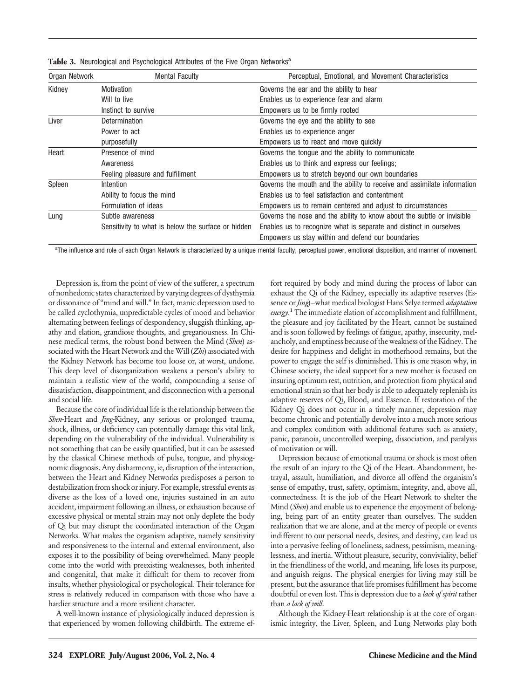| Organ Network | <b>Mental Faculty</b>                              | Perceptual, Emotional, and Movement Characteristics                     |  |  |
|---------------|----------------------------------------------------|-------------------------------------------------------------------------|--|--|
| Kidney        | Motivation                                         | Governs the ear and the ability to hear                                 |  |  |
|               | Will to live                                       | Enables us to experience fear and alarm                                 |  |  |
|               | Instinct to survive                                | Empowers us to be firmly rooted                                         |  |  |
| Liver         | Determination                                      | Governs the eye and the ability to see                                  |  |  |
|               | Power to act                                       | Enables us to experience anger                                          |  |  |
|               | purposefully                                       | Empowers us to react and move quickly                                   |  |  |
| Heart         | Presence of mind                                   | Governs the tongue and the ability to communicate                       |  |  |
|               | Awareness                                          | Enables us to think and express our feelings;                           |  |  |
|               | Feeling pleasure and fulfillment                   | Empowers us to stretch beyond our own boundaries                        |  |  |
| Spleen        | Intention                                          | Governs the mouth and the ability to receive and assimilate information |  |  |
|               | Ability to focus the mind                          | Enables us to feel satisfaction and contentment                         |  |  |
|               | Formulation of ideas                               | Empowers us to remain centered and adjust to circumstances              |  |  |
| Lung          | Subtle awareness                                   | Governs the nose and the ability to know about the subtle or invisible  |  |  |
|               | Sensitivity to what is below the surface or hidden | Enables us to recognize what is separate and distinct in ourselves      |  |  |
|               |                                                    | Empowers us stay within and defend our boundaries                       |  |  |

<span id="page-3-0"></span>**Table 3.** Neurological and Psychological Attributes of the Five Organ Networks<sup>a</sup>

a The influence and role of each Organ Network is characterized by a unique mental faculty, perceptual power, emotional disposition, and manner of movement.

Depression is, from the point of view of the sufferer, a spectrum of nonhedonic states characterized by varying degrees of dysthymia or dissonance of "mind and will." In fact, manic depression used to be called cyclothymia, unpredictable cycles of mood and behavior alternating between feelings of despondency, sluggish thinking, apathy and elation, grandiose thoughts, and gregariousness. In Chinese medical terms, the robust bond between the Mind (*Shen*) associated with the Heart Network and the Will (*Zhi*) associated with the Kidney Network has become too loose or, at worst, undone. This deep level of disorganization weakens a person's ability to maintain a realistic view of the world, compounding a sense of dissatisfaction, disappointment, and disconnection with a personal and social life.

Because the core of individual life is the relationship between the *Shen*-Heart and *Jing*-Kidney, any serious or prolonged trauma, shock, illness, or deficiency can potentially damage this vital link, depending on the vulnerability of the individual. Vulnerability is not something that can be easily quantified, but it can be assessed by the classical Chinese methods of pulse, tongue, and physiognomic diagnosis. Any disharmony, ie, disruption of the interaction, between the Heart and Kidney Networks predisposes a person to destabilization from shock or injury. For example, stressful events as diverse as the loss of a loved one, injuries sustained in an auto accident, impairment following an illness, or exhaustion because of excessive physical or mental strain may not only deplete the body of Qi but may disrupt the coordinated interaction of the Organ Networks. What makes the organism adaptive, namely sensitivity and responsiveness to the internal and external environment, also exposes it to the possibility of being overwhelmed. Many people come into the world with preexisting weaknesses, both inherited and congenital, that make it difficult for them to recover from insults, whether physiological or psychological. Their tolerance for stress is relatively reduced in comparison with those who have a hardier structure and a more resilient character.

A well-known instance of physiologically induced depression is that experienced by women following childbirth. The extreme effort required by body and mind during the process of labor can exhaust the Qi of the Kidney, especially its adaptive reserves (Essence or *Jing*)—what medical biologist Hans Selye termed *adaptation energy*. [1](#page-12-0) The immediate elation of accomplishment and fulfillment, the pleasure and joy facilitated by the Heart, cannot be sustained and is soon followed by feelings of fatigue, apathy, insecurity, melancholy, and emptiness because of the weakness of the Kidney. The desire for happiness and delight in motherhood remains, but the power to engage the self is diminished. This is one reason why, in Chinese society, the ideal support for a new mother is focused on insuring optimum rest, nutrition, and protection from physical and emotional strain so that her body is able to adequately replenish its adaptive reserves of Qi, Blood, and Essence. If restoration of the Kidney Qi does not occur in a timely manner, depression may become chronic and potentially devolve into a much more serious and complex condition with additional features such as anxiety, panic, paranoia, uncontrolled weeping, dissociation, and paralysis of motivation or will.

Depression because of emotional trauma or shock is most often the result of an injury to the Qi of the Heart. Abandonment, betrayal, assault, humiliation, and divorce all offend the organism's sense of empathy, trust, safety, optimism, integrity, and, above all, connectedness. It is the job of the Heart Network to shelter the Mind (*Shen*) and enable us to experience the enjoyment of belonging, being part of an entity greater than ourselves. The sudden realization that we are alone, and at the mercy of people or events indifferent to our personal needs, desires, and destiny, can lead us into a pervasive feeling of loneliness, sadness, pessimism, meaninglessness, and inertia. Without pleasure, security, conviviality, belief in the friendliness of the world, and meaning, life loses its purpose, and anguish reigns. The physical energies for living may still be present, but the assurance that life promises fulfillment has become doubtful or even lost. This is depression due to a *lack of spirit* rather than *a lack of will*.

Although the Kidney-Heart relationship is at the core of organismic integrity, the Liver, Spleen, and Lung Networks play both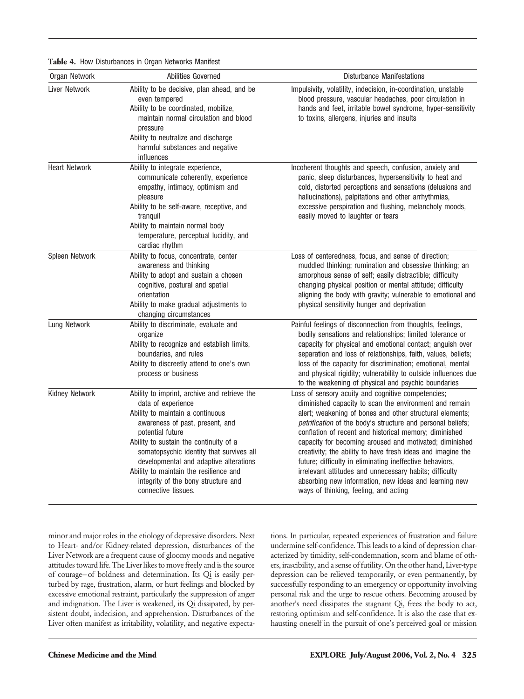| Organ Network        | Abilities Governed                                                                                                                                                                                                                                                                                                                                                                                    | <b>Disturbance Manifestations</b>                                                                                                                                                                                                                                                                                                                                                                                                                                                                                                                                                                                                                           |
|----------------------|-------------------------------------------------------------------------------------------------------------------------------------------------------------------------------------------------------------------------------------------------------------------------------------------------------------------------------------------------------------------------------------------------------|-------------------------------------------------------------------------------------------------------------------------------------------------------------------------------------------------------------------------------------------------------------------------------------------------------------------------------------------------------------------------------------------------------------------------------------------------------------------------------------------------------------------------------------------------------------------------------------------------------------------------------------------------------------|
| Liver Network        | Ability to be decisive, plan ahead, and be<br>even tempered<br>Ability to be coordinated, mobilize,<br>maintain normal circulation and blood<br>pressure<br>Ability to neutralize and discharge<br>harmful substances and negative<br>influences                                                                                                                                                      | Impulsivity, volatility, indecision, in-coordination, unstable<br>blood pressure, vascular headaches, poor circulation in<br>hands and feet, irritable bowel syndrome, hyper-sensitivity<br>to toxins, allergens, injuries and insults                                                                                                                                                                                                                                                                                                                                                                                                                      |
| <b>Heart Network</b> | Ability to integrate experience,<br>communicate coherently, experience<br>empathy, intimacy, optimism and<br>pleasure<br>Ability to be self-aware, receptive, and<br>tranguil<br>Ability to maintain normal body<br>temperature, perceptual lucidity, and<br>cardiac rhythm                                                                                                                           | Incoherent thoughts and speech, confusion, anxiety and<br>panic, sleep disturbances, hypersensitivity to heat and<br>cold, distorted perceptions and sensations (delusions and<br>hallucinations), palpitations and other arrhythmias,<br>excessive perspiration and flushing, melancholy moods,<br>easily moved to laughter or tears                                                                                                                                                                                                                                                                                                                       |
| Spleen Network       | Ability to focus, concentrate, center<br>awareness and thinking<br>Ability to adopt and sustain a chosen<br>cognitive, postural and spatial<br>orientation<br>Ability to make gradual adjustments to<br>changing circumstances                                                                                                                                                                        | Loss of centeredness, focus, and sense of direction;<br>muddled thinking; rumination and obsessive thinking; an<br>amorphous sense of self; easily distractible; difficulty<br>changing physical position or mental attitude; difficulty<br>aligning the body with gravity; vulnerable to emotional and<br>physical sensitivity hunger and deprivation                                                                                                                                                                                                                                                                                                      |
| Lung Network         | Ability to discriminate, evaluate and<br>organize<br>Ability to recognize and establish limits,<br>boundaries, and rules<br>Ability to discreetly attend to one's own<br>process or business                                                                                                                                                                                                          | Painful feelings of disconnection from thoughts, feelings,<br>bodily sensations and relationships; limited tolerance or<br>capacity for physical and emotional contact; anguish over<br>separation and loss of relationships, faith, values, beliefs;<br>loss of the capacity for discrimination; emotional, mental<br>and physical rigidity; vulnerability to outside influences due<br>to the weakening of physical and psychic boundaries                                                                                                                                                                                                                |
| Kidney Network       | Ability to imprint, archive and retrieve the<br>data of experience<br>Ability to maintain a continuous<br>awareness of past, present, and<br>potential future<br>Ability to sustain the continuity of a<br>somatopsychic identity that survives all<br>developmental and adaptive alterations<br>Ability to maintain the resilience and<br>integrity of the bony structure and<br>connective tissues. | Loss of sensory acuity and cognitive competencies;<br>diminished capacity to scan the environment and remain<br>alert; weakening of bones and other structural elements;<br><i>petrification</i> of the body's structure and personal beliefs;<br>conflation of recent and historical memory; diminished<br>capacity for becoming aroused and motivated; diminished<br>creativity; the ability to have fresh ideas and imagine the<br>future; difficulty in eliminating ineffective behaviors,<br>irrelevant attitudes and unnecessary habits; difficulty<br>absorbing new information, new ideas and learning new<br>ways of thinking, feeling, and acting |

<span id="page-4-0"></span>**Table 4.** How Disturbances in Organ Networks Manifest

minor and major roles in the etiology of depressive disorders. Next to Heart- and/or Kidney-related depression, disturbances of the Liver Network are a frequent cause of gloomy moods and negative attitudes toward life. The Liver likes to move freely and is the source of courage—of boldness and determination. Its Qi is easily perturbed by rage, frustration, alarm, or hurt feelings and blocked by excessive emotional restraint, particularly the suppression of anger and indignation. The Liver is weakened, its Qi dissipated, by persistent doubt, indecision, and apprehension. Disturbances of the Liver often manifest as irritability, volatility, and negative expectations. In particular, repeated experiences of frustration and failure undermine self-confidence. This leads to a kind of depression characterized by timidity, self-condemnation, scorn and blame of others, irascibility, and a sense of futility. On the other hand, Liver-type depression can be relieved temporarily, or even permanently, by successfully responding to an emergency or opportunity involving personal risk and the urge to rescue others. Becoming aroused by another's need dissipates the stagnant Qi, frees the body to act, restoring optimism and self-confidence. It is also the case that exhausting oneself in the pursuit of one's perceived goal or mission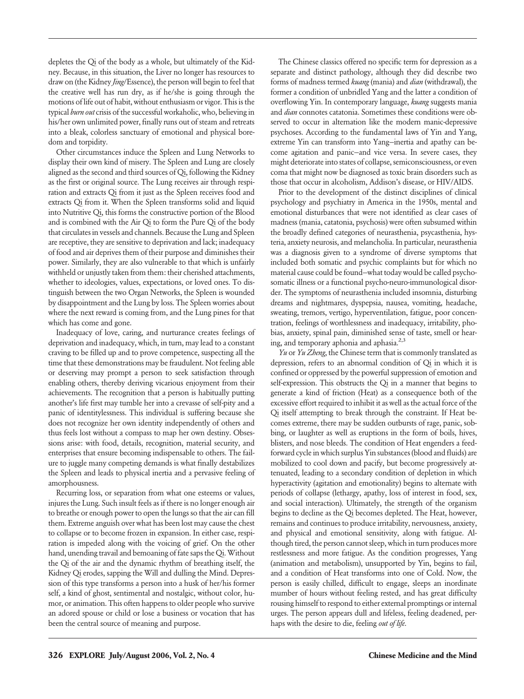depletes the Qi of the body as a whole, but ultimately of the Kidney. Because, in this situation, the Liver no longer has resources to draw on (the Kidney *Jing*/Essence), the person will begin to feel that the creative well has run dry, as if he/she is going through the motions of life out of habit, without enthusiasm or vigor. This is the typical *burn out* crisis of the successful workaholic, who, believing in his/her own unlimited power, finally runs out of steam and retreats into a bleak, colorless sanctuary of emotional and physical boredom and torpidity.

Other circumstances induce the Spleen and Lung Networks to display their own kind of misery. The Spleen and Lung are closely aligned as the second and third sources of Qi, following the Kidney as the first or original source. The Lung receives air through respiration and extracts Qi from it just as the Spleen receives food and extracts Qi from it. When the Spleen transforms solid and liquid into Nutritive Qi, this forms the constructive portion of the Blood and is combined with the Air Qi to form the Pure Qi of the body that circulates in vessels and channels. Because the Lung and Spleen are receptive, they are sensitive to deprivation and lack; inadequacy of food and air deprives them of their purpose and diminishes their power. Similarly, they are also vulnerable to that which is unfairly withheld or unjustly taken from them: their cherished attachments, whether to ideologies, values, expectations, or loved ones. To distinguish between the two Organ Networks, the Spleen is wounded by disappointment and the Lung by loss. The Spleen worries about where the next reward is coming from, and the Lung pines for that which has come and gone.

Inadequacy of love, caring, and nurturance creates feelings of deprivation and inadequacy, which, in turn, may lead to a constant craving to be filled up and to prove competence, suspecting all the time that these demonstrations may be fraudulent. Not feeling able or deserving may prompt a person to seek satisfaction through enabling others, thereby deriving vicarious enjoyment from their achievements. The recognition that a person is habitually putting another's life first may tumble her into a crevasse of self-pity and a panic of identitylessness. This individual is suffering because she does not recognize her own identity independently of others and thus feels lost without a compass to map her own destiny. Obsessions arise: with food, details, recognition, material security, and enterprises that ensure becoming indispensable to others. The failure to juggle many competing demands is what finally destabilizes the Spleen and leads to physical inertia and a pervasive feeling of amorphousness.

Recurring loss, or separation from what one esteems or values, injures the Lung. Such insult feels as if there is no longer enough air to breathe or enough power to open the lungs so that the air can fill them. Extreme anguish over what has been lost may cause the chest to collapse or to become frozen in expansion. In either case, respiration is impeded along with the voicing of grief. On the other hand, unending travail and bemoaning of fate saps the Qi. Without the Qi of the air and the dynamic rhythm of breathing itself, the Kidney Qi erodes, sapping the Will and dulling the Mind. Depression of this type transforms a person into a husk of her/his former self, a kind of ghost, sentimental and nostalgic, without color, humor, or animation. This often happens to older people who survive an adored spouse or child or lose a business or vocation that has been the central source of meaning and purpose.

The Chinese classics offered no specific term for depression as a separate and distinct pathology, although they did describe two forms of madness termed *kuang* (mania) and *dian* (withdrawal), the former a condition of unbridled Yang and the latter a condition of overflowing Yin. In contemporary language, *kuang* suggests mania and *dian* connotes catatonia. Sometimes these conditions were observed to occur in alternation like the modern manic-depressive psychoses. According to the fundamental laws of Yin and Yang, extreme Yin can transform into Yang—inertia and apathy can become agitation and panic—and vice versa. In severe cases, they might deteriorate into states of collapse, semiconsciousness, or even coma that might now be diagnosed as toxic brain disorders such as those that occur in alcoholism, Addison's disease, or HIV/AIDS.

Prior to the development of the distinct disciplines of clinical psychology and psychiatry in America in the 1950s, mental and emotional disturbances that were not identified as clear cases of madness (mania, catatonia, psychosis) were often subsumed within the broadly defined categories of neurasthenia, psycasthenia, hysteria, anxiety neurosis, and melancholia. In particular, neurasthenia was a diagnosis given to a syndrome of diverse symptoms that included both somatic and psychic complaints but for which no material cause could be found—what today would be called psychosomatic illness or a functional psycho-neuro-immunological disorder. The symptoms of neurasthenia included insomnia, disturbing dreams and nightmares, dyspepsia, nausea, vomiting, headache, sweating, tremors, vertigo, hyperventilation, fatigue, poor concentration, feelings of worthlessness and inadequacy, irritability, phobias, anxiety, spinal pain, diminished sense of taste, smell or hearing, and temporary aphonia and aphasia.<sup>2,3</sup>

*Yu* or *Yu Zheng*, the Chinese term that is commonly translated as depression, refers to an abnormal condition of Qi in which it is confined or oppressed by the powerful suppression of emotion and self-expression. This obstructs the Qi in a manner that begins to generate a kind of friction (Heat) as a consequence both of the excessive effort required to inhibit it as well as the actual force of the Qi itself attempting to break through the constraint. If Heat becomes extreme, there may be sudden outbursts of rage, panic, sobbing, or laughter as well as eruptions in the form of boils, hives, blisters, and nose bleeds. The condition of Heat engenders a feedforward cycle in which surplus Yin substances (blood and fluids) are mobilized to cool down and pacify, but become progressively attenuated, leading to a secondary condition of depletion in which hyperactivity (agitation and emotionality) begins to alternate with periods of collapse (lethargy, apathy, loss of interest in food, sex, and social interaction). Ultimately, the strength of the organism begins to decline as the Qi becomes depleted. The Heat, however, remains and continues to produce irritability, nervousness, anxiety, and physical and emotional sensitivity, along with fatigue. Although tired, the person cannot sleep, which in turn produces more restlessness and more fatigue. As the condition progresses, Yang (animation and metabolism), unsupported by Yin, begins to fail, and a condition of Heat transforms into one of Cold. Now, the person is easily chilled, difficult to engage, sleeps an inordinate mumber of hours without feeling rested, and has great difficulty rousing himself to respond to either external promptings or internal urges. The person appears dull and lifeless, feeling deadened, perhaps with the desire to die, feeling *out of life*.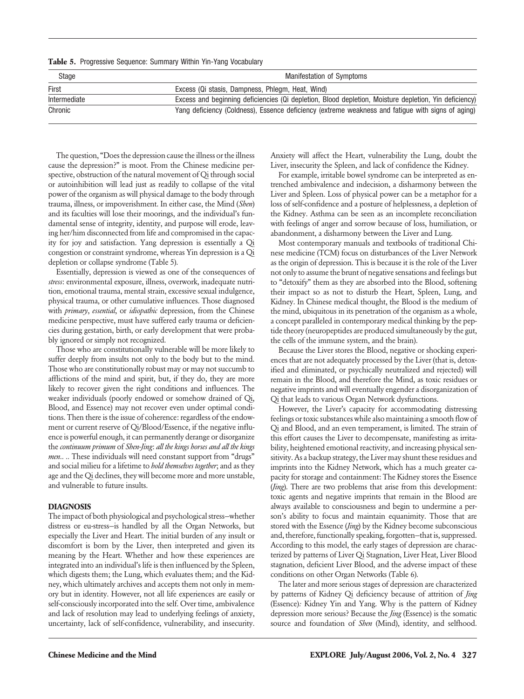**Table 5.** Progressive Sequence: Summary Within Yin-Yang Vocabulary

| Stage        | <b>Manifestation of Symptoms</b>                                                                      |
|--------------|-------------------------------------------------------------------------------------------------------|
| First        | Excess (Qi stasis, Dampness, Phlegm, Heat, Wind)                                                      |
| Intermediate | Excess and beginning deficiencies (Qi depletion, Blood depletion, Moisture depletion, Yin deficiency) |
| Chronic      | Yang deficiency (Coldness), Essence deficiency (extreme weakness and fatique with signs of aging)     |

The question, "Does the depression cause the illness or the illness cause the depression?" is moot. From the Chinese medicine perspective, obstruction of the natural movement of Qi through social or autoinhibition will lead just as readily to collapse of the vital power of the organism as will physical damage to the body through trauma, illness, or impoverishment. In either case, the Mind (*Shen*) and its faculties will lose their moorings, and the individual's fundamental sense of integrity, identity, and purpose will erode, leaving her/him disconnected from life and compromised in the capacity for joy and satisfaction. Yang depression is essentially a Qi congestion or constraint syndrome, whereas Yin depression is a Qi depletion or collapse syndrome (Table 5).

Essentially, depression is viewed as one of the consequences of *stress*: environmental exposure, illness, overwork, inadequate nutrition, emotional trauma, mental strain, excessive sexual indulgence, physical trauma, or other cumulative influences. Those diagnosed with *primary*, *essential*, or *idiopathic* depression, from the Chinese medicine perspective, must have suffered early trauma or deficiencies during gestation, birth, or early development that were probably ignored or simply not recognized.

Those who are constitutionally vulnerable will be more likely to suffer deeply from insults not only to the body but to the mind. Those who are constitutionally robust may or may not succumb to afflictions of the mind and spirit, but, if they do, they are more likely to recover given the right conditions and influences. The weaker individuals (poorly endowed or somehow drained of Qi, Blood, and Essence) may not recover even under optimal conditions. Then there is the issue of coherence: regardless of the endowment or current reserve of Qi/Blood/Essence, if the negative influence is powerful enough, it can permanently derange or disorganize the *continuum primum* of *Shen-Jing*: *all the kings horses and all the kings men...* These individuals will need constant support from "drugs" and social milieu for a lifetime to *hold themselves together*; and as they age and the Qi declines, they will become more and more unstable, and vulnerable to future insults.

#### **DIAGNOSIS**

The impact of both physiological and psychological stress—whether distress or eu-stress—is handled by all the Organ Networks, but especially the Liver and Heart. The initial burden of any insult or discomfort is born by the Liver, then interpreted and given its meaning by the Heart. Whether and how these experiences are integrated into an individual's life is then influenced by the Spleen, which digests them; the Lung, which evaluates them; and the Kidney, which ultimately archives and accepts them not only in memory but in identity. However, not all life experiences are easily or self-consciously incorporated into the self. Over time, ambivalence and lack of resolution may lead to underlying feelings of anxiety, uncertainty, lack of self-confidence, vulnerability, and insecurity. Anxiety will affect the Heart, vulnerability the Lung, doubt the Liver, insecurity the Spleen, and lack of confidence the Kidney.

For example, irritable bowel syndrome can be interpreted as entrenched ambivalence and indecision, a disharmony between the Liver and Spleen. Loss of physical power can be a metaphor for a loss of self-confidence and a posture of helplessness, a depletion of the Kidney. Asthma can be seen as an incomplete reconciliation with feelings of anger and sorrow because of loss, humiliation, or abandonment, a disharmony between the Liver and Lung.

Most contemporary manuals and textbooks of traditional Chinese medicine (TCM) focus on disturbances of the Liver Network as the origin of depression. This is because it is the role of the Liver not only to assume the brunt of negative sensations and feelings but to "detoxify" them as they are absorbed into the Blood, softening their impact so as not to disturb the Heart, Spleen, Lung, and Kidney. In Chinese medical thought, the Blood is the medium of the mind, ubiquitous in its penetration of the organism as a whole, a concept paralleled in contemporary medical thinking by the peptide theory (neuropeptides are produced simultaneously by the gut, the cells of the immune system, and the brain).

Because the Liver stores the Blood, negative or shocking experiences that are not adequately processed by the Liver (that is, detoxified and eliminated, or psychically neutralized and rejected) will remain in the Blood, and therefore the Mind, as toxic residues or negative imprints and will eventually engender a disorganization of Qi that leads to various Organ Network dysfunctions.

However, the Liver's capacity for accommodating distressing feelings or toxic substances while also maintaining a smooth flow of Qi and Blood, and an even temperament, is limited. The strain of this effort causes the Liver to decompensate, manifesting as irritability, heightened emotional reactivity, and increasing physical sensitivity. As a backup strategy, the Liver may shunt these residues and imprints into the Kidney Network, which has a much greater capacity for storage and containment: The Kidney stores the Essence (*Jing*). There are two problems that arise from this development: toxic agents and negative imprints that remain in the Blood are always available to consciousness and begin to undermine a person's ability to focus and maintain equanimity. Those that are stored with the Essence (*Jing*) by the Kidney become subconscious and, therefore, functionally speaking, forgotten—that is, suppressed. According to this model, the early stages of depression are characterized by patterns of Liver Qi Stagnation, Liver Heat, Liver Blood stagnation, deficient Liver Blood, and the adverse impact of these conditions on other Organ Networks [\(Table 6\)](#page-7-0).

The later and more serious stages of depression are characterized by patterns of Kidney Qi deficiency because of attrition of *Jing* (Essence)*:* Kidney Yin and Yang. Why is the pattern of Kidney depression more serious? Because the *Jing* (Essence) is the somatic source and foundation of *Shen* (Mind), identity, and selfhood.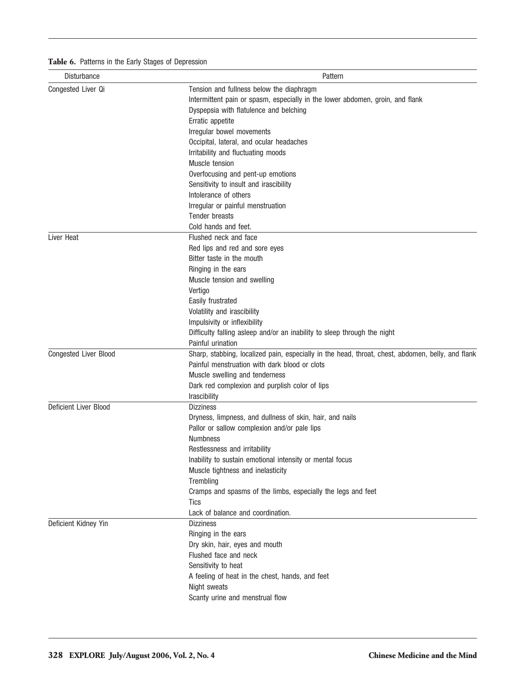<span id="page-7-0"></span>**Table 6.** Patterns in the Early Stages of Depression

| Disturbance                  | Pattern                                                                                           |
|------------------------------|---------------------------------------------------------------------------------------------------|
| Congested Liver Qi           | Tension and fullness below the diaphragm                                                          |
|                              | Intermittent pain or spasm, especially in the lower abdomen, groin, and flank                     |
|                              | Dyspepsia with flatulence and belching                                                            |
|                              | Erratic appetite                                                                                  |
|                              | Irregular bowel movements                                                                         |
|                              | Occipital, lateral, and ocular headaches                                                          |
|                              | Irritability and fluctuating moods                                                                |
|                              | Muscle tension                                                                                    |
|                              | Overfocusing and pent-up emotions                                                                 |
|                              | Sensitivity to insult and irascibility                                                            |
|                              | Intolerance of others                                                                             |
|                              | Irregular or painful menstruation                                                                 |
|                              | <b>Tender breasts</b>                                                                             |
|                              | Cold hands and feet.                                                                              |
|                              |                                                                                                   |
| Liver Heat                   | Flushed neck and face                                                                             |
|                              | Red lips and red and sore eyes                                                                    |
|                              | Bitter taste in the mouth                                                                         |
|                              | Ringing in the ears                                                                               |
|                              | Muscle tension and swelling                                                                       |
|                              | Vertigo                                                                                           |
|                              | Easily frustrated                                                                                 |
|                              | Volatility and irascibility                                                                       |
|                              | Impulsivity or inflexibility                                                                      |
|                              | Difficulty falling asleep and/or an inability to sleep through the night                          |
|                              | Painful urination                                                                                 |
| <b>Congested Liver Blood</b> | Sharp, stabbing, localized pain, especially in the head, throat, chest, abdomen, belly, and flank |
|                              | Painful menstruation with dark blood or clots                                                     |
|                              | Muscle swelling and tenderness                                                                    |
|                              | Dark red complexion and purplish color of lips                                                    |
|                              | <b>Irascibility</b>                                                                               |
| Deficient Liver Blood        | <b>Dizziness</b>                                                                                  |
|                              | Dryness, limpness, and dullness of skin, hair, and nails                                          |
|                              | Pallor or sallow complexion and/or pale lips                                                      |
|                              | <b>Numbness</b>                                                                                   |
|                              | Restlessness and irritability                                                                     |
|                              | Inability to sustain emotional intensity or mental focus                                          |
|                              | Muscle tightness and inelasticity                                                                 |
|                              | Trembling                                                                                         |
|                              | Cramps and spasms of the limbs, especially the legs and feet                                      |
|                              | Tics                                                                                              |
|                              | Lack of balance and coordination.                                                                 |
| Deficient Kidney Yin         | <b>Dizziness</b>                                                                                  |
|                              | Ringing in the ears                                                                               |
|                              | Dry skin, hair, eyes and mouth                                                                    |
|                              | Flushed face and neck                                                                             |
|                              | Sensitivity to heat                                                                               |
|                              | A feeling of heat in the chest, hands, and feet                                                   |
|                              | Night sweats                                                                                      |
|                              | Scanty urine and menstrual flow                                                                   |
|                              |                                                                                                   |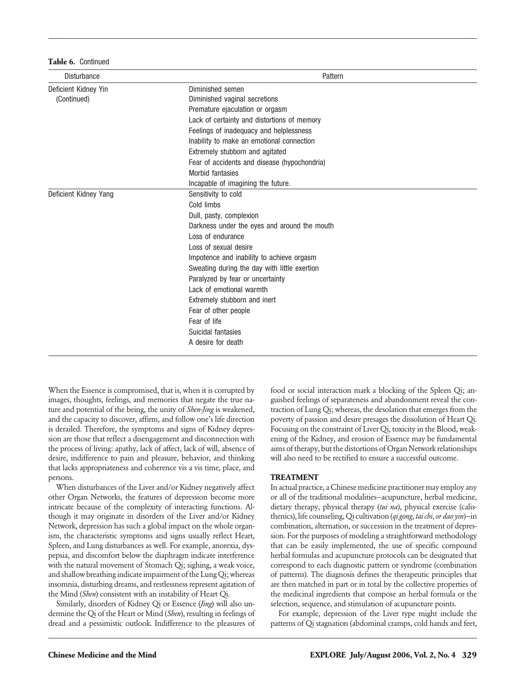|  |  | Table 6. Continued |  |
|--|--|--------------------|--|
|--|--|--------------------|--|

| <b>Disturbance</b>    | Pattern                                      |  |
|-----------------------|----------------------------------------------|--|
| Deficient Kidney Yin  | Diminished semen                             |  |
| (Continued)           | Diminished vaginal secretions                |  |
|                       | Premature ejaculation or orgasm              |  |
|                       | Lack of certainty and distortions of memory  |  |
|                       | Feelings of inadequacy and helplessness      |  |
|                       | Inability to make an emotional connection    |  |
|                       | Extremely stubborn and agitated              |  |
|                       | Fear of accidents and disease (hypochondria) |  |
|                       | Morbid fantasies                             |  |
|                       | Incapable of imagining the future.           |  |
| Deficient Kidney Yang | Sensitivity to cold                          |  |
|                       | Cold limbs                                   |  |
|                       | Dull, pasty, complexion                      |  |
|                       | Darkness under the eyes and around the mouth |  |
|                       | Loss of endurance                            |  |
|                       | Loss of sexual desire                        |  |
|                       | Impotence and inability to achieve orgasm    |  |
|                       | Sweating during the day with little exertion |  |
|                       | Paralyzed by fear or uncertainty             |  |
|                       | Lack of emotional warmth                     |  |
|                       | Extremely stubborn and inert                 |  |
|                       | Fear of other people                         |  |
|                       | Fear of life                                 |  |
|                       | Suicidal fantasies                           |  |
|                       | A desire for death                           |  |
|                       |                                              |  |

When the Essence is compromised, that is, when it is corrupted by images, thoughts, feelings, and memories that negate the true nature and potential of the being, the unity of *Shen-Jing* is weakened, and the capacity to discover, affirm, and follow one's life direction is derailed. Therefore, the symptoms and signs of Kidney depression are those that reflect a disengagement and disconnection with the process of living: apathy, lack of affect, lack of will, absence of desire, indifference to pain and pleasure, behavior, and thinking that lacks appropriateness and coherence vis a vis time, place, and persons.

When disturbances of the Liver and/or Kidney negatively affect other Organ Networks, the features of depression become more intricate because of the complexity of interacting functions. Although it may originate in disorders of the Liver and/or Kidney Network, depression has such a global impact on the whole organism, the characteristic symptoms and signs usually reflect Heart, Spleen, and Lung disturbances as well. For example, anorexia, dyspepsia, and discomfort below the diaphragm indicate interference with the natural movement of Stomach Qi; sighing, a weak voice, and shallow breathing indicate impairment of the Lung Qi; whereas insomnia, disturbing dreams, and restlessness represent agitation of the Mind (*Shen*) consistent with an instability of Heart Qi.

Similarly, disorders of Kidney Qi or Essence (*Jing*) will also undermine the Qi of the Heart or Mind (*Shen*), resulting in feelings of dread and a pessimistic outlook. Indifference to the pleasures of food or social interaction mark a blocking of the Spleen Qi; anguished feelings of separateness and abandonment reveal the contraction of Lung Qi; whereas, the desolation that emerges from the poverty of passion and desire presages the dissolution of Heart Qi. Focusing on the constraint of Liver Qi, toxicity in the Blood, weakening of the Kidney, and erosion of Essence may be fundamental aims of therapy, but the distortions of Organ Network relationships will also need to be rectified to ensure a successful outcome.

### **TREATMENT**

In actual practice, a Chinese medicine practitioner may employ any or all of the traditional modalities—acupuncture, herbal medicine, dietary therapy, physical therapy (*tui na*), physical exercise (calisthenics), life counseling, Qi cultivation (*qi gong*, *tai chi*, *or dao yin*)—in combination, alternation, or succession in the treatment of depression. For the purposes of modeling a straightforward methodology that can be easily implemented, the use of specific compound herbal formulas and acupuncture protocols can be designated that correspond to each diagnostic pattern or syndrome (combination of patterns). The diagnosis defines the therapeutic principles that are then matched in part or in total by the collective properties of the medicinal ingredients that compose an herbal formula or the selection, sequence, and stimulation of acupuncture points.

For example, depression of the Liver type might include the patterns of Qi stagnation (abdominal cramps, cold hands and feet,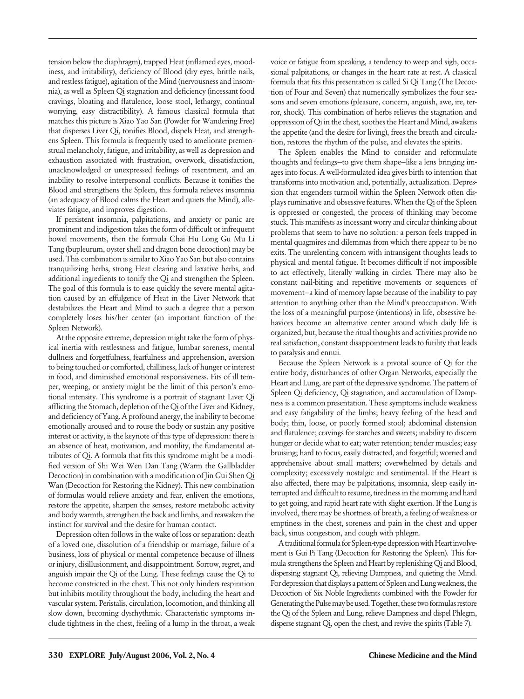tension below the diaphragm), trapped Heat (inflamed eyes, moodiness, and irritability), deficiency of Blood (dry eyes, brittle nails, and restless fatigue), agitation of the Mind (nervousness and insomnia), as well as Spleen Qi stagnation and deficiency (incessant food cravings, bloating and flatulence, loose stool, lethargy, continual worrying, easy distractibility). A famous classical formula that matches this picture is Xiao Yao San (Powder for Wandering Free) that disperses Liver Qi, tonifies Blood, dispels Heat, and strengthens Spleen. This formula is frequently used to ameliorate premenstrual melancholy, fatigue, and irritability, as well as depression and exhaustion associated with frustration, overwork, dissatisfaction, unacknowledged or unexpressed feelings of resentment, and an inability to resolve interpersonal conflicts. Because it tonifies the Blood and strengthens the Spleen, this formula relieves insomnia (an adequacy of Blood calms the Heart and quiets the Mind), alleviates fatigue, and improves digestion.

If persistent insomnia, palpitations, and anxiety or panic are prominent and indigestion takes the form of difficult or infrequent bowel movements, then the formula Chai Hu Long Gu Mu Li Tang (bupleurum, oyster shell and dragon bone decoction) may be used. This combination is similar to Xiao Yao San but also contains tranquilizing herbs, strong Heat clearing and laxative herbs, and additional ingredients to tonify the Qi and strengthen the Spleen. The goal of this formula is to ease quickly the severe mental agitation caused by an effulgence of Heat in the Liver Network that destabilizes the Heart and Mind to such a degree that a person completely loses his/her center (an important function of the Spleen Network).

At the opposite extreme, depression might take the form of physical inertia with restlessness and fatigue, lumbar soreness, mental dullness and forgetfulness, fearfulness and apprehension, aversion to being touched or comforted, chilliness, lack of hunger or interest in food, and diminished emotional responsiveness. Fits of ill temper, weeping, or anxiety might be the limit of this person's emotional intensity. This syndrome is a portrait of stagnant Liver Qi afflicting the Stomach, depletion of the Qi of the Liver and Kidney, and deficiency of Yang. A profound anergy, the inability to become emotionally aroused and to rouse the body or sustain any positive interest or activity, is the keynote of this type of depression: there is an absence of heat, motivation, and motility, the fundamental attributes of Qi. A formula that fits this syndrome might be a modified version of Shi Wei Wen Dan Tang (Warm the Gallbladder Decoction) in combination with a modification of Jin Gui Shen Qi Wan (Decoction for Restoring the Kidney). This new combination of formulas would relieve anxiety and fear, enliven the emotions, restore the appetite, sharpen the senses, restore metabolic activity and body warmth, strengthen the back and limbs, and reawaken the instinct for survival and the desire for human contact.

Depression often follows in the wake of loss or separation: death of a loved one, dissolution of a friendship or marriage, failure of a business, loss of physical or mental competence because of illness or injury, disillusionment, and disappointment. Sorrow, regret, and anguish impair the Qi of the Lung. These feelings cause the Qi to become constricted in the chest. This not only hinders respiration but inhibits motility throughout the body, including the heart and vascular system. Peristalis, circulation, locomotion, and thinking all slow down, becoming dysrhythmic. Characteristic symptoms include tightness in the chest, feeling of a lump in the throat, a weak voice or fatigue from speaking, a tendency to weep and sigh, occasional palpitations, or changes in the heart rate at rest. A classical formula that fits this presentation is called Si Qi Tang (The Decoction of Four and Seven) that numerically symbolizes the four seasons and seven emotions (pleasure, concern, anguish, awe, ire, terror, shock). This combination of herbs relieves the stagnation and oppression of Qi in the chest, soothes the Heart and Mind, awakens the appetite (and the desire for living), frees the breath and circulation, restores the rhythm of the pulse, and elevates the spirits.

The Spleen enables the Mind to consider and reformulate thoughts and feelings—to give them shape—like a lens bringing images into focus. A well-formulated idea gives birth to intention that transforms into motivation and, potentially, actualization. Depression that engenders turmoil within the Spleen Network often displays ruminative and obsessive features. When the Qi of the Spleen is oppressed or congested, the process of thinking may become stuck. This manifests as incessant worry and circular thinking about problems that seem to have no solution: a person feels trapped in mental quagmires and dilemmas from which there appear to be no exits. The unrelenting concern with intransigent thoughts leads to physical and mental fatigue. It becomes difficult if not impossible to act effectively, literally walking in circles. There may also be constant nail-biting and repetitive movements or sequences of movement—a kind of memory lapse because of the inability to pay attention to anything other than the Mind's preoccupation. With the loss of a meaningful purpose (intentions) in life, obsessive behaviors become an alternative center around which daily life is organized, but, because the ritual thoughts and activities provide no real satisfaction, constant disappointment leads to futility that leads to paralysis and ennui.

Because the Spleen Network is a pivotal source of Qi for the entire body, disturbances of other Organ Networks, especially the Heart and Lung, are part of the depressive syndrome. The pattern of Spleen Qi deficiency, Qi stagnation, and accumulation of Dampness is a common presentation. These symptoms include weakness and easy fatigability of the limbs; heavy feeling of the head and body; thin, loose, or poorly formed stool; abdominal distension and flatulence; cravings for starches and sweets; inability to discern hunger or decide what to eat; water retention; tender muscles; easy bruising; hard to focus, easily distracted, and forgetful; worried and apprehensive about small matters; overwhelmed by details and complexity; excessively nostalgic and sentimental. If the Heart is also affected, there may be palpitations, insomnia, sleep easily interrupted and difficult to resume, tiredness in the morning and hard to get going, and rapid heart rate with slight exertion. If the Lung is involved, there may be shortness of breath, a feeling of weakness or emptiness in the chest, soreness and pain in the chest and upper back, sinus congestion, and cough with phlegm.

A traditional formula for Spleen-type depression with Heart involvement is Gui Pi Tang (Decoction for Restoring the Spleen). This formula strengthens the Spleen and Heart by replenishing Qi and Blood, dispersing stagnant Qi, relieving Dampness, and quieting the Mind. For depression that displays a pattern of Spleen and Lung weakness, the Decoction of Six Noble Ingredients combined with the Powder for Generating the Pulsemay be used.Together, these two formulas restore the Qi of the Spleen and Lung, relieve Dampness and dispel Phlegm, disperse stagnant Qi, open the chest, and revive the spirits [\(Table 7\)](#page-10-0).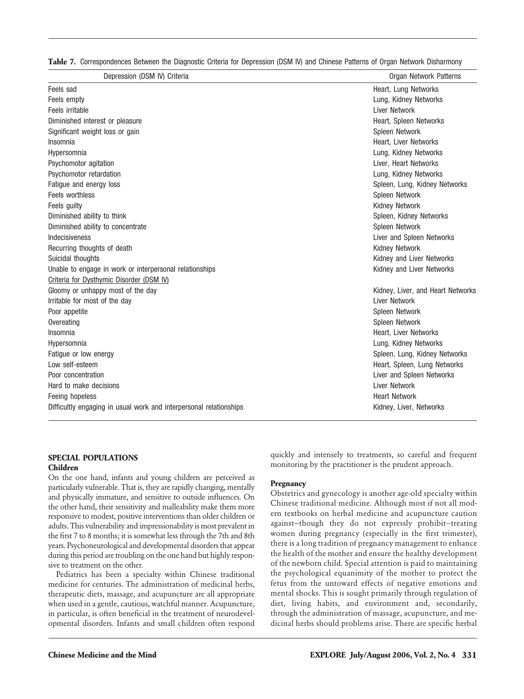<span id="page-10-0"></span>**Table 7.** Correspondences Between the Diagnostic Criteria for Depression (DSM IV) and Chinese Patterns of Organ Network Disharmony

| Depression (DSM IV) Criteria                                       | Organ Network Patterns            |
|--------------------------------------------------------------------|-----------------------------------|
| Feels sad                                                          | Heart, Lung Networks              |
| Feels empty                                                        | Lung, Kidney Networks             |
| Feels irritable                                                    | Liver Network                     |
| Diminished interest or pleasure                                    | Heart, Spleen Networks            |
| Significant weight loss or gain                                    | Spleen Network                    |
| Insomnia                                                           | Heart, Liver Networks             |
| Hypersomnia                                                        | Lung, Kidney Networks             |
| Psychomotor agitation                                              | Liver, Heart Networks             |
| Psychomotor retardation                                            | Lung, Kidney Networks             |
| Fatique and energy loss                                            | Spleen, Lung, Kidney Networks     |
| Feels worthless                                                    | Spleen Network                    |
| Feels guilty                                                       | <b>Kidney Network</b>             |
| Diminished ability to think                                        | Spleen, Kidney Networks           |
| Diminished ability to concentrate                                  | Spleen Network                    |
| Indecisiveness                                                     | Liver and Spleen Networks         |
| Recurring thoughts of death                                        | <b>Kidney Network</b>             |
| Suicidal thoughts                                                  | Kidney and Liver Networks         |
| Unable to engage in work or interpersonal relationships            | Kidney and Liver Networks         |
| Criteria for Dysthymic Disorder (DSM IV)                           |                                   |
| Gloomy or unhappy most of the day                                  | Kidney, Liver, and Heart Networks |
| Irritable for most of the day                                      | Liver Network                     |
| Poor appetite                                                      | Spleen Network                    |
| Overeating                                                         | Spleen Network                    |
| Insomnia                                                           | Heart, Liver Networks             |
| Hypersomnia                                                        | Lung, Kidney Networks             |
| Fatigue or low energy                                              | Spleen, Lung, Kidney Networks     |
| Low self-esteem                                                    | Heart, Spleen, Lung Networks      |
| Poor concentration                                                 | Liver and Spleen Networks         |
| Hard to make decisions                                             | Liver Network                     |
| Feeing hopeless                                                    | <b>Heart Network</b>              |
| Difficultly engaging in usual work and interpersonal relationships | Kidney, Liver, Networks           |

## **SPECIAL POPULATIONS**

## **Children**

On the one hand, infants and young children are perceived as particularly vulnerable. That is, they are rapidly changing, mentally and physically immature, and sensitive to outside influences. On the other hand, their sensitivity and malleability make them more responsive to modest, positive interventions than older children or adults. This vulnerability and impressionability is most prevalent in the first 7 to 8 months; it is somewhat less through the 7th and 8th years. Psychoneurological and developmental disorders that appear during this period are troubling on the one hand but highly responsive to treatment on the other.

Pediatrics has been a specialty within Chinese traditional medicine for centuries. The administration of medicinal herbs, therapeutic diets, massage, and acupuncture are all appropriate when used in a gentle, cautious, watchful manner. Acupuncture, in particular, is often beneficial in the treatment of neurodevelopmental disorders. Infants and small children often respond quickly and intensely to treatments, so careful and frequent monitoring by the practitioner is the prudent approach.

## **Pregnancy**

Obstetrics and gynecology is another age-old specialty within Chinese traditional medicine. Although most if not all modern textbooks on herbal medicine and acupuncture caution against—though they do not expressly prohibit—treating women during pregnancy (especially in the first trimester), there is a long tradition of pregnancy management to enhance the health of the mother and ensure the healthy development of the newborn child. Special attention is paid to maintaining the psychological equanimity of the mother to protect the fetus from the untoward effects of negative emotions and mental shocks. This is sought primarily through regulation of diet, living habits, and environment and, secondarily, through the administration of massage, acupuncture, and medicinal herbs should problems arise. There are specific herbal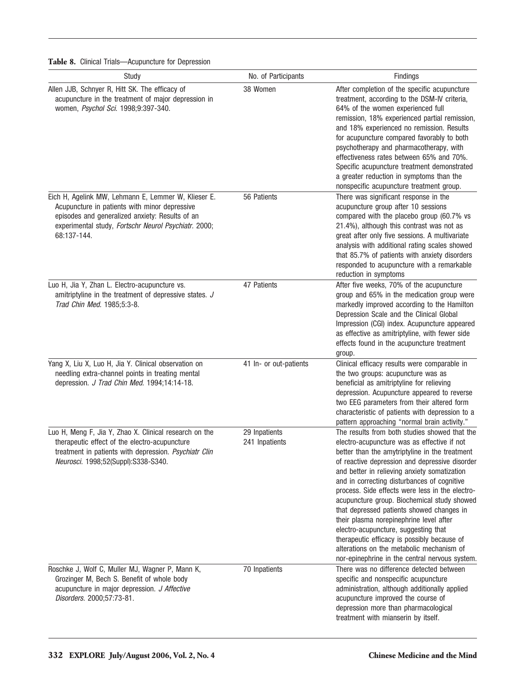<span id="page-11-0"></span>

|  | Table 8. Clinical Trials-Acupuncture for Depression |  |  |  |
|--|-----------------------------------------------------|--|--|--|
|--|-----------------------------------------------------|--|--|--|

| Study                                                                                                                                                                                                                          | No. of Participants             | Findings                                                                                                                                                                                                                                                                                                                                                                                                                                                                                                                                                                                                                                                                        |
|--------------------------------------------------------------------------------------------------------------------------------------------------------------------------------------------------------------------------------|---------------------------------|---------------------------------------------------------------------------------------------------------------------------------------------------------------------------------------------------------------------------------------------------------------------------------------------------------------------------------------------------------------------------------------------------------------------------------------------------------------------------------------------------------------------------------------------------------------------------------------------------------------------------------------------------------------------------------|
| Allen JJB, Schnyer R, Hitt SK. The efficacy of<br>acupuncture in the treatment of major depression in<br>women, Psychol Sci. 1998;9:397-340.                                                                                   | 38 Women                        | After completion of the specific acupuncture<br>treatment, according to the DSM-IV criteria,<br>64% of the women experienced full<br>remission, 18% experienced partial remission,<br>and 18% experienced no remission. Results<br>for acupuncture compared favorably to both<br>psychotherapy and pharmacotherapy, with<br>effectiveness rates between 65% and 70%.<br>Specific acupuncture treatment demonstrated<br>a greater reduction in symptoms than the<br>nonspecific acupuncture treatment group.                                                                                                                                                                     |
| Eich H, Agelink MW, Lehmann E, Lemmer W, Klieser E.<br>Acupuncture in patients with minor depressive<br>episodes and generalized anxiety: Results of an<br>experimental study, Fortschr Neurol Psychiatr. 2000;<br>68:137-144. | 56 Patients                     | There was significant response in the<br>acupuncture group after 10 sessions<br>compared with the placebo group (60.7% vs<br>21.4%), although this contrast was not as<br>great after only five sessions. A multivariate<br>analysis with additional rating scales showed<br>that 85.7% of patients with anxiety disorders<br>responded to acupuncture with a remarkable<br>reduction in symptoms                                                                                                                                                                                                                                                                               |
| Luo H, Jia Y, Zhan L. Electro-acupuncture vs.<br>amitriptyline in the treatment of depressive states. J<br>Trad Chin Med. 1985;5:3-8.                                                                                          | 47 Patients                     | After five weeks, 70% of the acupuncture<br>group and 65% in the medication group were<br>markedly improved according to the Hamilton<br>Depression Scale and the Clinical Global<br>Impression (CGI) index. Acupuncture appeared<br>as effective as amitriptyline, with fewer side<br>effects found in the acupuncture treatment<br>group.                                                                                                                                                                                                                                                                                                                                     |
| Yang X, Liu X, Luo H, Jia Y. Clinical observation on<br>needling extra-channel points in treating mental<br>depression. J Trad Chin Med. 1994;14:14-18.                                                                        | 41 In- or out-patients          | Clinical efficacy results were comparable in<br>the two groups: acupuncture was as<br>beneficial as amitriptyline for relieving<br>depression. Acupuncture appeared to reverse<br>two EEG parameters from their altered form<br>characteristic of patients with depression to a<br>pattern approaching "normal brain activity."                                                                                                                                                                                                                                                                                                                                                 |
| Luo H, Meng F, Jia Y, Zhao X. Clinical research on the<br>therapeutic effect of the electro-acupuncture<br>treatment in patients with depression. Psychiatr Clin<br>Neurosci. 1998;52(Suppl):S338-S340.                        | 29 Inpatients<br>241 Inpatients | The results from both studies showed that the<br>electro-acupuncture was as effective if not<br>better than the amytriptyline in the treatment<br>of reactive depression and depressive disorder<br>and better in relieving anxiety somatization<br>and in correcting disturbances of cognitive<br>process. Side effects were less in the electro-<br>acupuncture group. Biochemical study showed<br>that depressed patients showed changes in<br>their plasma norepinephrine level after<br>electro-acupuncture, suggesting that<br>therapeutic efficacy is possibly because of<br>alterations on the metabolic mechanism of<br>nor-epinephrine in the central nervous system. |
| Roschke J, Wolf C, Muller MJ, Wagner P, Mann K,<br>Grozinger M, Bech S. Benefit of whole body<br>acupuncture in major depression. J Affective<br>Disorders. 2000;57:73-81.                                                     | 70 Inpatients                   | There was no difference detected between<br>specific and nonspecific acupuncture<br>administration, although additionally applied<br>acupuncture improved the course of<br>depression more than pharmacological<br>treatment with mianserin by itself.                                                                                                                                                                                                                                                                                                                                                                                                                          |